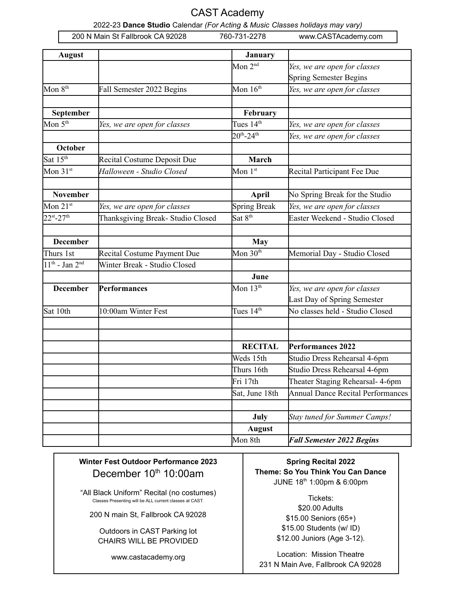#### CAST Academy

2022-23 **Dance Studio** Calendar *(For Acting & Music Classes holidays may vary)*

|                       | 200 N Main St Fallbrook CA 92028  | 760-731-2278         | www.CASTAcademy.com                      |
|-----------------------|-----------------------------------|----------------------|------------------------------------------|
| <b>August</b>         |                                   | <b>January</b>       |                                          |
|                       |                                   | Mon $2nd$            | Yes, we are open for classes             |
|                       |                                   |                      | <b>Spring Semester Begins</b>            |
| Mon 8 <sup>th</sup>   | Fall Semester 2022 Begins         | Mon $16th$           | Yes, we are open for classes             |
| September             |                                   | February             |                                          |
| Mon 5 <sup>th</sup>   | Yes, we are open for classes      | Tues $14th$          | Yes, we are open for classes             |
|                       |                                   | $20^{th} - 24^{th}$  | Yes, we are open for classes             |
| October               |                                   |                      |                                          |
| Sat 15 <sup>th</sup>  | Recital Costume Deposit Due       | <b>March</b>         |                                          |
| Mon 31st              | Halloween - Studio Closed         | Mon $1st$            | Recital Participant Fee Due              |
| <b>November</b>       |                                   | April                | No Spring Break for the Studio           |
| Mon $21^{st}$         | Yes, we are open for classes      | <b>Spring Break</b>  | Yes, we are open for classes             |
| 22st <sub>-27th</sub> | Thanksgiving Break- Studio Closed | Sat 8 <sup>th</sup>  | Easter Weekend - Studio Closed           |
| <b>December</b>       |                                   | <b>May</b>           |                                          |
| Thurs 1st             | Recital Costume Payment Due       | Mon 30 <sup>th</sup> | Memorial Day - Studio Closed             |
| $11th$ - Jan $2nd$    | Winter Break - Studio Closed      |                      |                                          |
|                       |                                   | June                 |                                          |
| <b>December</b>       | <b>Performances</b>               | Mon 13 <sup>th</sup> | Yes, we are open for classes             |
|                       |                                   |                      | Last Day of Spring Semester              |
| Sat 10th              | 10:00am Winter Fest               | Tues $14th$          | No classes held - Studio Closed          |
|                       |                                   |                      |                                          |
|                       |                                   | <b>RECITAL</b>       | Performances 2022                        |
|                       |                                   | Weds 15th            | Studio Dress Rehearsal 4-6pm             |
|                       |                                   | Thurs 16th           | Studio Dress Rehearsal 4-6pm             |
|                       |                                   | Fri 17th             | Theater Staging Rehearsal- 4-6pm         |
|                       |                                   | Sat, June 18th       | <b>Annual Dance Recital Performances</b> |
|                       |                                   | July                 | <b>Stay tuned for Summer Camps!</b>      |
|                       |                                   | <b>August</b>        |                                          |
|                       |                                   | Mon 8th              | <b>Fall Semester 2022 Begins</b>         |

#### **Winter Fest Outdoor Performance 2023** December 10<sup>th</sup> 10:00am

"All Black Uniform" Recital (no costumes) Classes Presenting will be ALL current classes at CAST.

200 N main St, Fallbrook CA 92028

Outdoors in CAST Parking lot CHAIRS WILL BE PROVIDED

www.castacademy.org

**Spring Recital 2022 Theme: So You Think You Can Dance** JUNE 18 th 1:00pm & 6:00pm

> Tickets: \$20.00 Adults \$15.00 Seniors (65+) \$15.00 Students (w/ ID) \$12.00 Juniors (Age 3-12).

Location: Mission Theatre 231 N Main Ave, Fallbrook CA 92028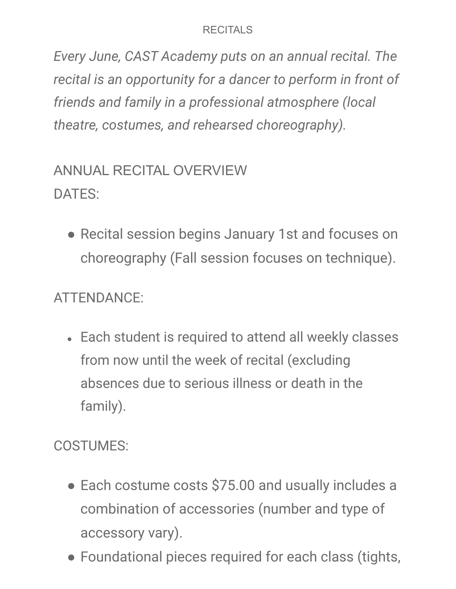#### **RECITALS**

*Every June, CAST Academy puts on an annual recital. The recital is an opportunity for a dancer to perform in front of friends and family in a professional atmosphere (local theatre, costumes, and rehearsed choreography).*

# ANNUAL RECITAL OVERVIEW DATES:

● Recital session begins January 1st and focuses on choreography (Fall session focuses on technique).

## ATTENDANCE:

• Each student is required to attend all weekly classes from now until the week of recital (excluding absences due to serious illness or death in the family).

COSTUMES:

- Each costume costs \$75.00 and usually includes a combination of accessories (number and type of accessory vary).
- Foundational pieces required for each class (tights,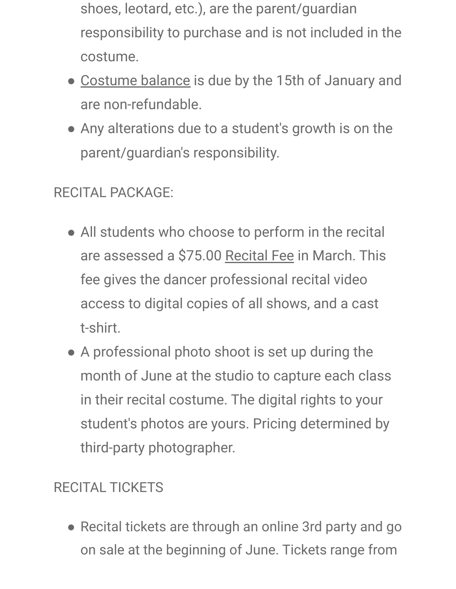- shoes, leotard, etc.), are the parent/guardian responsibility to purchase and is not included in the costume.
- Costume balance is due by the 15th of January and are non-refundable.
- Any alterations due to a student's growth is on the parent/guardian's responsibility.

# RECITAL PACKAGE:

- All students who choose to perform in the recital are assessed a \$75.00 Recital Fee in March. This fee gives the dancer professional recital video access to digital copies of all shows, and a cast t-shirt.
- A professional photo shoot is set up during the month of June at the studio to capture each class in their recital costume. The digital rights to your student's photos are yours. Pricing determined by third-party photographer.

### RECITAL TICKETS

● Recital tickets are through an online 3rd party and go on sale at the beginning of June. Tickets range from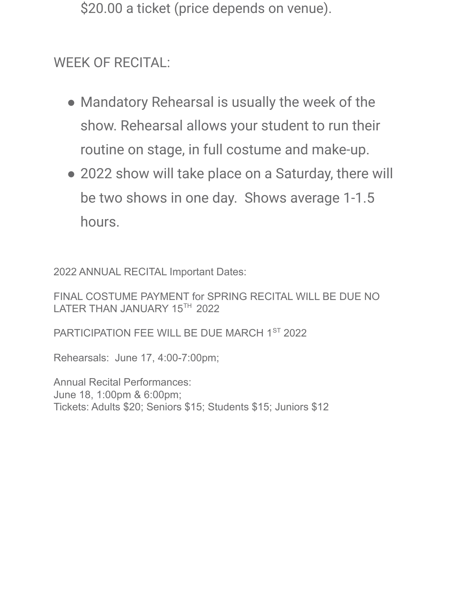\$20.00 a ticket (price depends on venue).

### WEEK OF RECITAL:

- Mandatory Rehearsal is usually the week of the show. Rehearsal allows your student to run their routine on stage, in full costume and make-up.
- 2022 show will take place on a Saturday, there will be two shows in one day. Shows average 1-1.5 hours.

2022 ANNUAL RECITAL Important Dates:

FINAL COSTUME PAYMENT for SPRING RECITAL WILL BE DUE NO LATER THAN JANUARY 15TH 2022

PARTICIPATION FEE WILL BE DUE MARCH 1ST 2022

Rehearsals: June 17, 4:00-7:00pm;

Annual Recital Performances: June 18, 1:00pm & 6:00pm; Tickets: Adults \$20; Seniors \$15; Students \$15; Juniors \$12